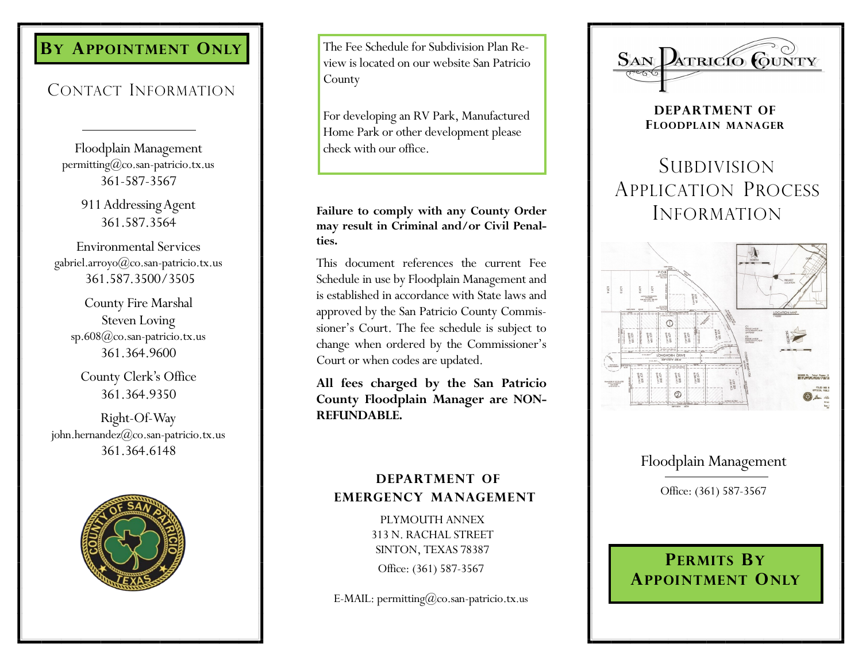# **BY APPOINTMENT ONLY**

# CONTACT INFORMATION

Floodplain Management permitting@co.san-patricio.tx.us 361-587-3567

> 911 Addressing Agent 361.587.3564

Environmental Services gabriel.arroyo@co.san-patricio.tx.us 361.587.3500/3505

County Fire Marshal Steven Loving sp.608@co.san-patricio.tx.us 361.364.9600

County Clerk's Office 361.364.9350

Right-Of-Way john.hernandez@co.san-patricio.tx.us 361.364.6148



The Fee Schedule for Subdivision Plan Review is located on our website San Patricio County

For developing an RV Park, Manufactured Home Park or other development please check with our office.

## **Failure to comply with any County Order may result in Criminal and/or Civil Penalties.**

This document references the current Fee Schedule in use by Floodplain Management and is established in accordance with State laws and approved by the San Patricio County Commissioner's Court. The fee schedule is subject to change when ordered by the Commissioner's Court or when codes are updated.

**All fees charged by the San Patricio County Floodplain Manager are NON-REFUNDABLE.** 

## **DEPARTMENT OF EMERGENCY MANAGEMENT**

**FLYMOUTH ANNEX** 313 N. RACHAL STREET SINTON, TEXAS 78387 Office: (361) 587-3567

E-MAIL: permitting $@$ co.san-patricio.tx.us



**DEPARTMENT OF FLOODPLAIN MANAGER**

# **SUBDIVISION** APPLICATION PROCESS INFORMATION



# Floodplain Management

Office: (361) 587-3567